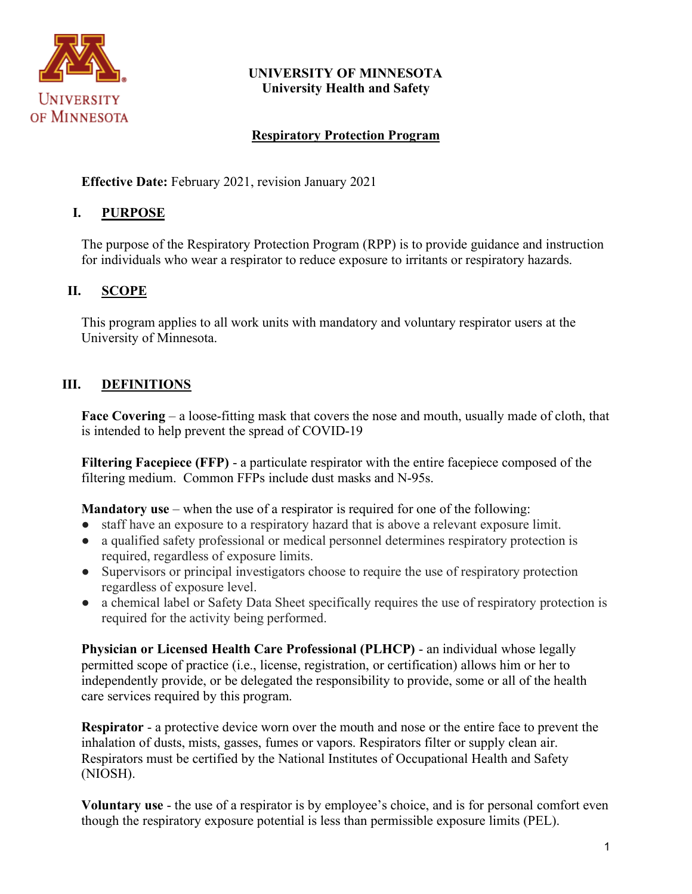

### **UNIVERSITY OF MINNESOTA University Health and Safety**

# **Respiratory Protection Program**

**Effective Date:** February 2021, revision January 2021

# **I. PURPOSE**

The purpose of the Respiratory Protection Program (RPP) is to provide guidance and instruction for individuals who wear a respirator to reduce exposure to irritants or respiratory hazards.

# **II. SCOPE**

This program applies to all work units with mandatory and voluntary respirator users at the University of Minnesota.

# **III. DEFINITIONS**

**Face Covering** – a loose-fitting mask that covers the nose and mouth, usually made of cloth, that is intended to help prevent the spread of COVID-19

**Filtering Facepiece (FFP)** - a particulate respirator with the entire facepiece composed of the filtering medium. Common FFPs include dust masks and N-95s.

**Mandatory use** – when the use of a respirator is required for one of the following:

- staff have an exposure to a respiratory hazard that is above a relevant exposure limit.
- a qualified safety professional or medical personnel determines respiratory protection is required, regardless of exposure limits.
- Supervisors or principal investigators choose to require the use of respiratory protection regardless of exposure level.
- a chemical label or Safety Data Sheet specifically requires the use of respiratory protection is required for the activity being performed.

**Physician or Licensed Health Care Professional (PLHCP)** - an individual whose legally permitted scope of practice (i.e., license, registration, or certification) allows him or her to independently provide, or be delegated the responsibility to provide, some or all of the health care services required by this program.

**Respirator** - a protective device worn over the mouth and nose or the entire face to prevent the inhalation of dusts, mists, gasses, fumes or vapors. Respirators filter or supply clean air. Respirators must be certified by the National Institutes of Occupational Health and Safety (NIOSH).

**Voluntary use** - the use of a respirator is by employee's choice, and is for personal comfort even though the respiratory exposure potential is less than permissible exposure limits (PEL).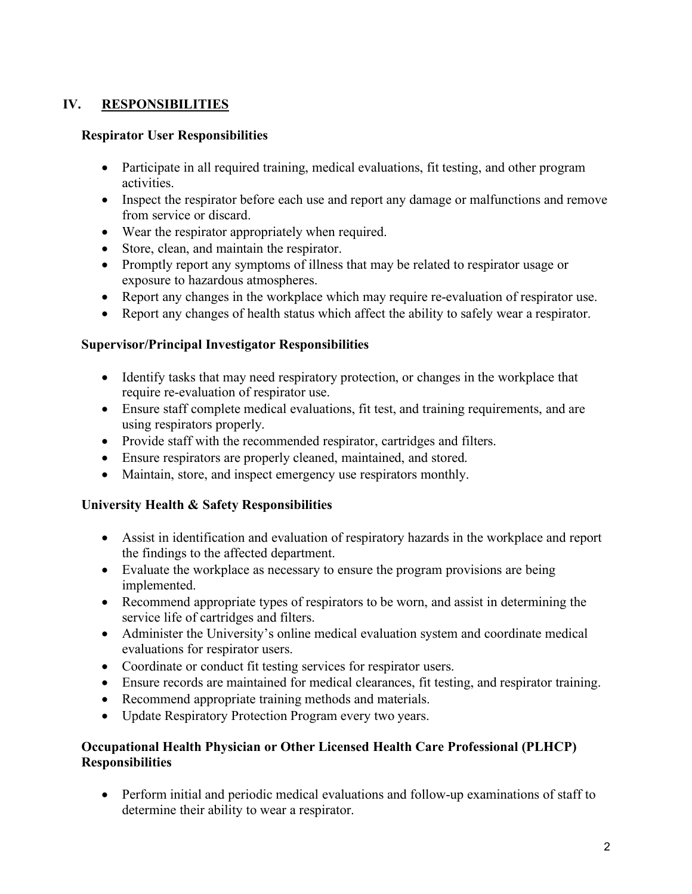# **IV. RESPONSIBILITIES**

#### **Respirator User Responsibilities**

- Participate in all required training, medical evaluations, fit testing, and other program activities.
- Inspect the respirator before each use and report any damage or malfunctions and remove from service or discard.
- Wear the respirator appropriately when required.
- Store, clean, and maintain the respirator.
- Promptly report any symptoms of illness that may be related to respirator usage or exposure to hazardous atmospheres.
- Report any changes in the workplace which may require re-evaluation of respirator use.
- Report any changes of health status which affect the ability to safely wear a respirator.

### **Supervisor/Principal Investigator Responsibilities**

- Identify tasks that may need respiratory protection, or changes in the workplace that require re-evaluation of respirator use.
- Ensure staff complete medical evaluations, fit test, and training requirements, and are using respirators properly.
- Provide staff with the recommended respirator, cartridges and filters.
- Ensure respirators are properly cleaned, maintained, and stored.
- Maintain, store, and inspect emergency use respirators monthly.

#### **University Health & Safety Responsibilities**

- Assist in identification and evaluation of respiratory hazards in the workplace and report the findings to the affected department.
- Evaluate the workplace as necessary to ensure the program provisions are being implemented.
- Recommend appropriate types of respirators to be worn, and assist in determining the service life of cartridges and filters.
- Administer the University's online medical evaluation system and coordinate medical evaluations for respirator users.
- Coordinate or conduct fit testing services for respirator users.
- Ensure records are maintained for medical clearances, fit testing, and respirator training.
- Recommend appropriate training methods and materials.
- Update Respiratory Protection Program every two years.

### **Occupational Health Physician or Other Licensed Health Care Professional (PLHCP) Responsibilities**

• Perform initial and periodic medical evaluations and follow-up examinations of staff to determine their ability to wear a respirator.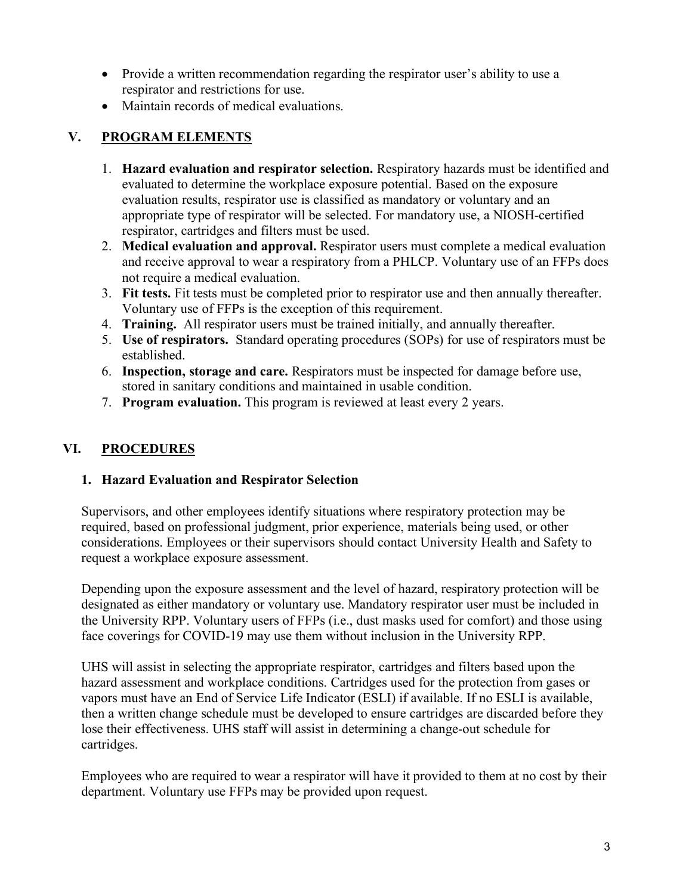- Provide a written recommendation regarding the respirator user's ability to use a respirator and restrictions for use.
- Maintain records of medical evaluations.

# **V. PROGRAM ELEMENTS**

- 1. **Hazard evaluation and respirator selection.** Respiratory hazards must be identified and evaluated to determine the workplace exposure potential. Based on the exposure evaluation results, respirator use is classified as mandatory or voluntary and an appropriate type of respirator will be selected. For mandatory use, a NIOSH-certified respirator, cartridges and filters must be used.
- 2. **Medical evaluation and approval.** Respirator users must complete a medical evaluation and receive approval to wear a respiratory from a PHLCP. Voluntary use of an FFPs does not require a medical evaluation.
- 3. **Fit tests.** Fit tests must be completed prior to respirator use and then annually thereafter. Voluntary use of FFPs is the exception of this requirement.
- 4. **Training.** All respirator users must be trained initially, and annually thereafter.
- 5. **Use of respirators.** Standard operating procedures (SOPs) for use of respirators must be established.
- 6. **Inspection, storage and care.** Respirators must be inspected for damage before use, stored in sanitary conditions and maintained in usable condition.
- 7. **Program evaluation.** This program is reviewed at least every 2 years.

# **VI. PROCEDURES**

#### **1. Hazard Evaluation and Respirator Selection**

Supervisors, and other employees identify situations where respiratory protection may be required, based on professional judgment, prior experience, materials being used, or other considerations. Employees or their supervisors should contact University Health and Safety to request a workplace exposure assessment.

Depending upon the exposure assessment and the level of hazard, respiratory protection will be designated as either mandatory or voluntary use. Mandatory respirator user must be included in the University RPP. Voluntary users of FFPs (i.e., dust masks used for comfort) and those using face coverings for COVID-19 may use them without inclusion in the University RPP.

UHS will assist in selecting the appropriate respirator, cartridges and filters based upon the hazard assessment and workplace conditions. Cartridges used for the protection from gases or vapors must have an End of Service Life Indicator (ESLI) if available. If no ESLI is available, then a written change schedule must be developed to ensure cartridges are discarded before they lose their effectiveness. UHS staff will assist in determining a change-out schedule for cartridges.

Employees who are required to wear a respirator will have it provided to them at no cost by their department. Voluntary use FFPs may be provided upon request.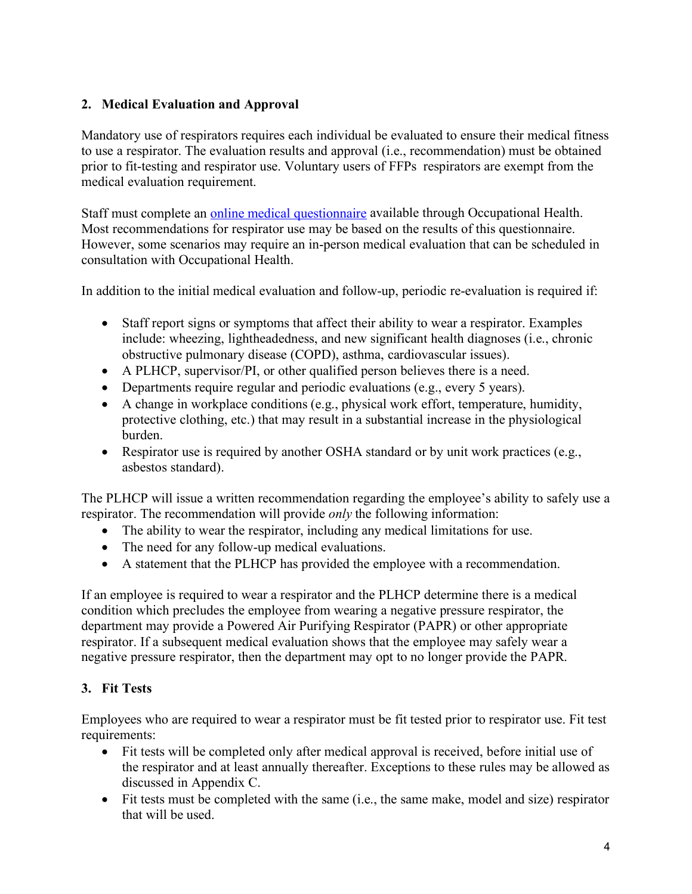## **2. Medical Evaluation and Approval**

Mandatory use of respirators requires each individual be evaluated to ensure their medical fitness to use a respirator. The evaluation results and approval (i.e., recommendation) must be obtained prior to fit-testing and respirator use. Voluntary users of FFPs respirators are exempt from the medical evaluation requirement.

Staff must complete an [online medical questionnaire](https://bohd.umn.edu/respiratory-protection-program) available through Occupational Health. Most recommendations for respirator use may be based on the results of this questionnaire. However, some scenarios may require an in-person medical evaluation that can be scheduled in consultation with Occupational Health.

In addition to the initial medical evaluation and follow-up, periodic re-evaluation is required if:

- Staff report signs or symptoms that affect their ability to wear a respirator. Examples include: wheezing, lightheadedness, and new significant health diagnoses (i.e., chronic obstructive pulmonary disease (COPD), asthma, cardiovascular issues).
- A PLHCP, supervisor/PI, or other qualified person believes there is a need.
- Departments require regular and periodic evaluations (e.g., every 5 years).
- A change in workplace conditions (e.g., physical work effort, temperature, humidity, protective clothing, etc.) that may result in a substantial increase in the physiological burden.
- Respirator use is required by another OSHA standard or by unit work practices (e.g., asbestos standard).

The PLHCP will issue a written recommendation regarding the employee's ability to safely use a respirator. The recommendation will provide *only* the following information:

- The ability to wear the respirator, including any medical limitations for use.
- The need for any follow-up medical evaluations.
- A statement that the PLHCP has provided the employee with a recommendation.

If an employee is required to wear a respirator and the PLHCP determine there is a medical condition which precludes the employee from wearing a negative pressure respirator, the department may provide a Powered Air Purifying Respirator (PAPR) or other appropriate respirator. If a subsequent medical evaluation shows that the employee may safely wear a negative pressure respirator, then the department may opt to no longer provide the PAPR.

# **3. Fit Tests**

Employees who are required to wear a respirator must be fit tested prior to respirator use. Fit test requirements:

- Fit tests will be completed only after medical approval is received, before initial use of the respirator and at least annually thereafter. Exceptions to these rules may be allowed as discussed in Appendix C.
- Fit tests must be completed with the same (i.e., the same make, model and size) respirator that will be used.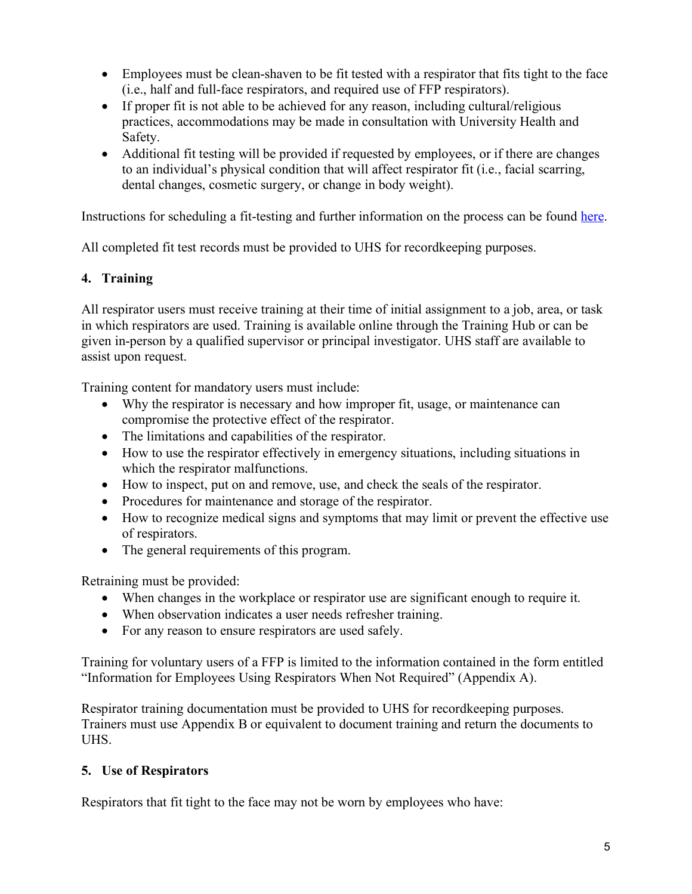- Employees must be clean-shaven to be fit tested with a respirator that fits tight to the face (i.e., half and full-face respirators, and required use of FFP respirators).
- If proper fit is not able to be achieved for any reason, including cultural/religious practices, accommodations may be made in consultation with University Health and Safety.
- Additional fit testing will be provided if requested by employees, or if there are changes to an individual's physical condition that will affect respirator fit (i.e., facial scarring, dental changes, cosmetic surgery, or change in body weight).

Instructions for scheduling a fit-testing and further information on the process can be found [here.](https://bohd.umn.edu/fit-testing-instructions)

All completed fit test records must be provided to UHS for recordkeeping purposes.

### **4. Training**

All respirator users must receive training at their time of initial assignment to a job, area, or task in which respirators are used. Training is available online through the Training Hub or can be given in-person by a qualified supervisor or principal investigator. UHS staff are available to assist upon request.

Training content for mandatory users must include:

- Why the respirator is necessary and how improper fit, usage, or maintenance can compromise the protective effect of the respirator.
- The limitations and capabilities of the respirator.
- How to use the respirator effectively in emergency situations, including situations in which the respirator malfunctions.
- How to inspect, put on and remove, use, and check the seals of the respirator.
- Procedures for maintenance and storage of the respirator.
- How to recognize medical signs and symptoms that may limit or prevent the effective use of respirators.
- The general requirements of this program.

Retraining must be provided:

- When changes in the workplace or respirator use are significant enough to require it.
- When observation indicates a user needs refresher training.
- For any reason to ensure respirators are used safely.

Training for voluntary users of a FFP is limited to the information contained in the form entitled "Information for Employees Using Respirators When Not Required" (Appendix A).

Respirator training documentation must be provided to UHS for recordkeeping purposes. Trainers must use Appendix B or equivalent to document training and return the documents to UHS.

# **5. Use of Respirators**

Respirators that fit tight to the face may not be worn by employees who have: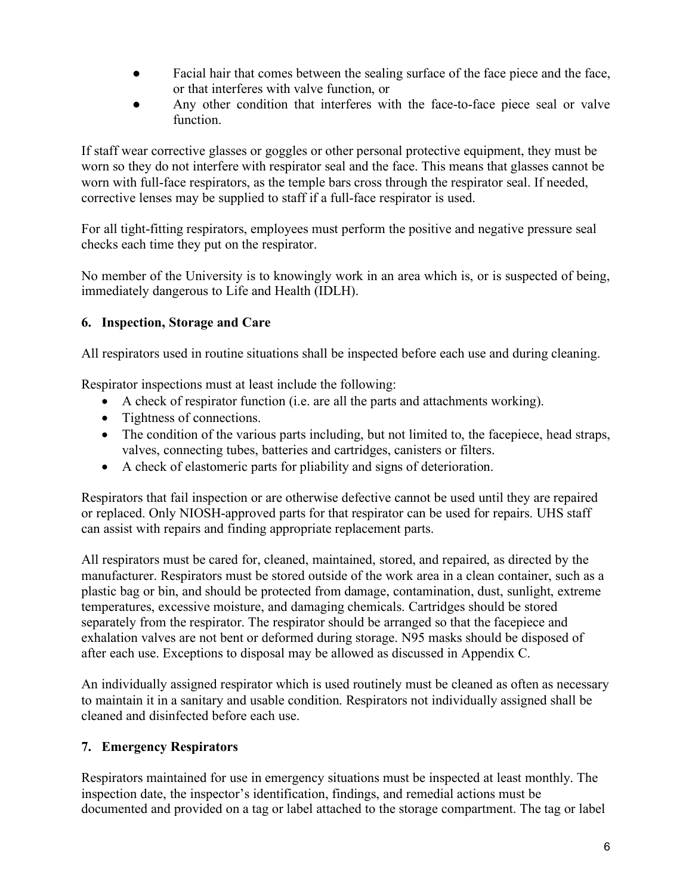- Facial hair that comes between the sealing surface of the face piece and the face, or that interferes with valve function, or
- Any other condition that interferes with the face-to-face piece seal or valve function.

If staff wear corrective glasses or goggles or other personal protective equipment, they must be worn so they do not interfere with respirator seal and the face. This means that glasses cannot be worn with full-face respirators, as the temple bars cross through the respirator seal. If needed, corrective lenses may be supplied to staff if a full-face respirator is used.

For all tight-fitting respirators, employees must perform the positive and negative pressure seal checks each time they put on the respirator.

No member of the University is to knowingly work in an area which is, or is suspected of being, immediately dangerous to Life and Health (IDLH).

### **6. Inspection, Storage and Care**

All respirators used in routine situations shall be inspected before each use and during cleaning.

Respirator inspections must at least include the following:

- A check of respirator function (i.e. are all the parts and attachments working).
- Tightness of connections.
- The condition of the various parts including, but not limited to, the facepiece, head straps, valves, connecting tubes, batteries and cartridges, canisters or filters.
- A check of elastomeric parts for pliability and signs of deterioration.

Respirators that fail inspection or are otherwise defective cannot be used until they are repaired or replaced. Only NIOSH-approved parts for that respirator can be used for repairs. UHS staff can assist with repairs and finding appropriate replacement parts.

All respirators must be cared for, cleaned, maintained, stored, and repaired, as directed by the manufacturer. Respirators must be stored outside of the work area in a clean container, such as a plastic bag or bin, and should be protected from damage, contamination, dust, sunlight, extreme temperatures, excessive moisture, and damaging chemicals. Cartridges should be stored separately from the respirator. The respirator should be arranged so that the facepiece and exhalation valves are not bent or deformed during storage. N95 masks should be disposed of after each use. Exceptions to disposal may be allowed as discussed in Appendix C.

An individually assigned respirator which is used routinely must be cleaned as often as necessary to maintain it in a sanitary and usable condition. Respirators not individually assigned shall be cleaned and disinfected before each use.

# **7. Emergency Respirators**

Respirators maintained for use in emergency situations must be inspected at least monthly. The inspection date, the inspector's identification, findings, and remedial actions must be documented and provided on a tag or label attached to the storage compartment. The tag or label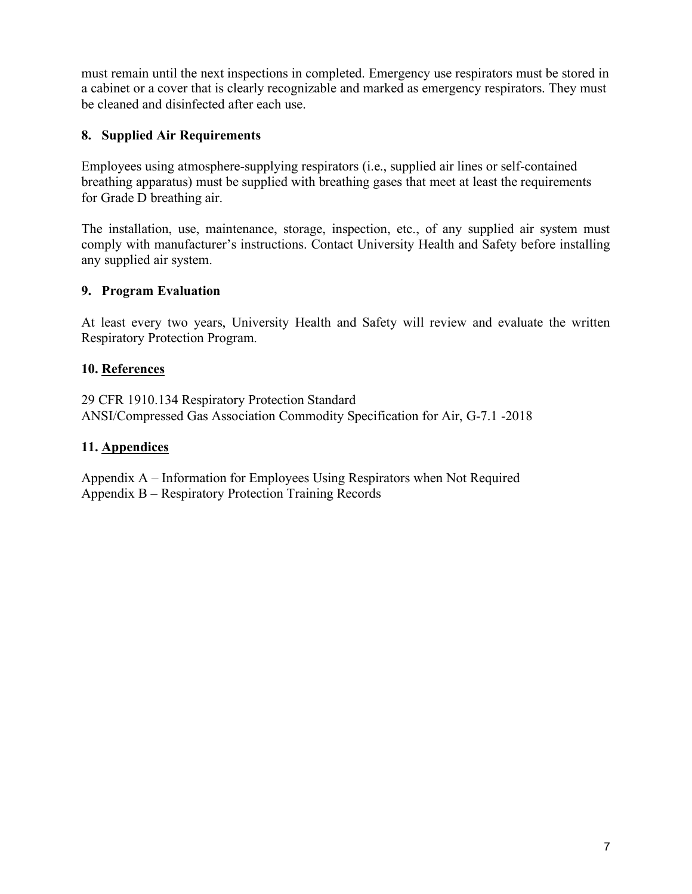must remain until the next inspections in completed. Emergency use respirators must be stored in a cabinet or a cover that is clearly recognizable and marked as emergency respirators. They must be cleaned and disinfected after each use.

### **8. Supplied Air Requirements**

Employees using atmosphere-supplying respirators (i.e., supplied air lines or self-contained breathing apparatus) must be supplied with breathing gases that meet at least the requirements for Grade D breathing air.

The installation, use, maintenance, storage, inspection, etc., of any supplied air system must comply with manufacturer's instructions. Contact University Health and Safety before installing any supplied air system.

#### **9. Program Evaluation**

At least every two years, University Health and Safety will review and evaluate the written Respiratory Protection Program.

### **10. References**

29 CFR 1910.134 Respiratory Protection Standard ANSI/Compressed Gas Association Commodity Specification for Air, G-7.1 -2018

#### **11. Appendices**

Appendix A – Information for Employees Using Respirators when Not Required Appendix B – Respiratory Protection Training Records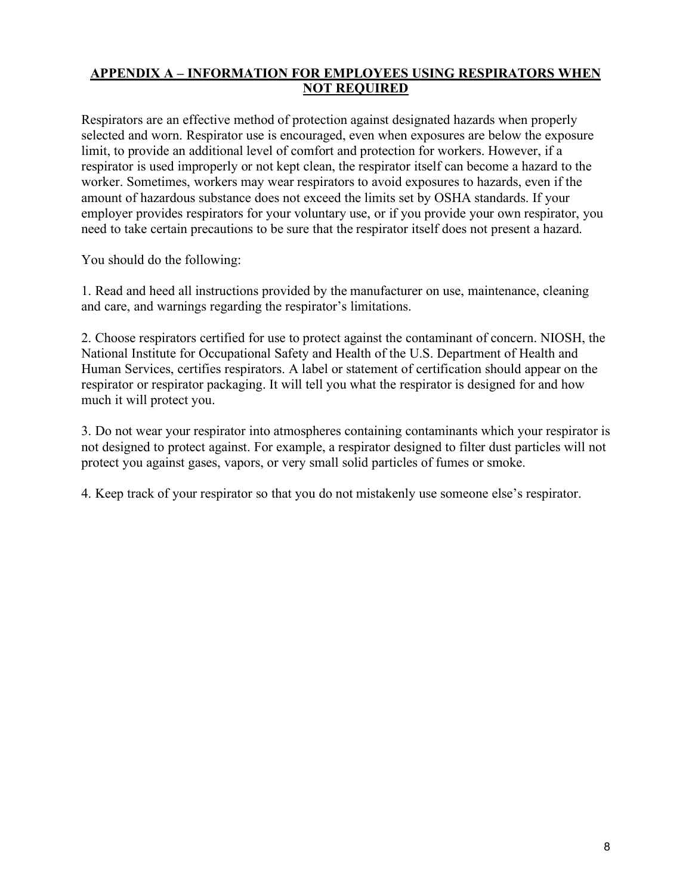#### **APPENDIX A – INFORMATION FOR EMPLOYEES USING RESPIRATORS WHEN NOT REQUIRED**

Respirators are an effective method of protection against designated hazards when properly selected and worn. Respirator use is encouraged, even when exposures are below the exposure limit, to provide an additional level of comfort and protection for workers. However, if a respirator is used improperly or not kept clean, the respirator itself can become a hazard to the worker. Sometimes, workers may wear respirators to avoid exposures to hazards, even if the amount of hazardous substance does not exceed the limits set by OSHA standards. If your employer provides respirators for your voluntary use, or if you provide your own respirator, you need to take certain precautions to be sure that the respirator itself does not present a hazard.

You should do the following:

1. Read and heed all instructions provided by the manufacturer on use, maintenance, cleaning and care, and warnings regarding the respirator's limitations.

2. Choose respirators certified for use to protect against the contaminant of concern. NIOSH, the National Institute for Occupational Safety and Health of the U.S. Department of Health and Human Services, certifies respirators. A label or statement of certification should appear on the respirator or respirator packaging. It will tell you what the respirator is designed for and how much it will protect you.

3. Do not wear your respirator into atmospheres containing contaminants which your respirator is not designed to protect against. For example, a respirator designed to filter dust particles will not protect you against gases, vapors, or very small solid particles of fumes or smoke.

4. Keep track of your respirator so that you do not mistakenly use someone else's respirator.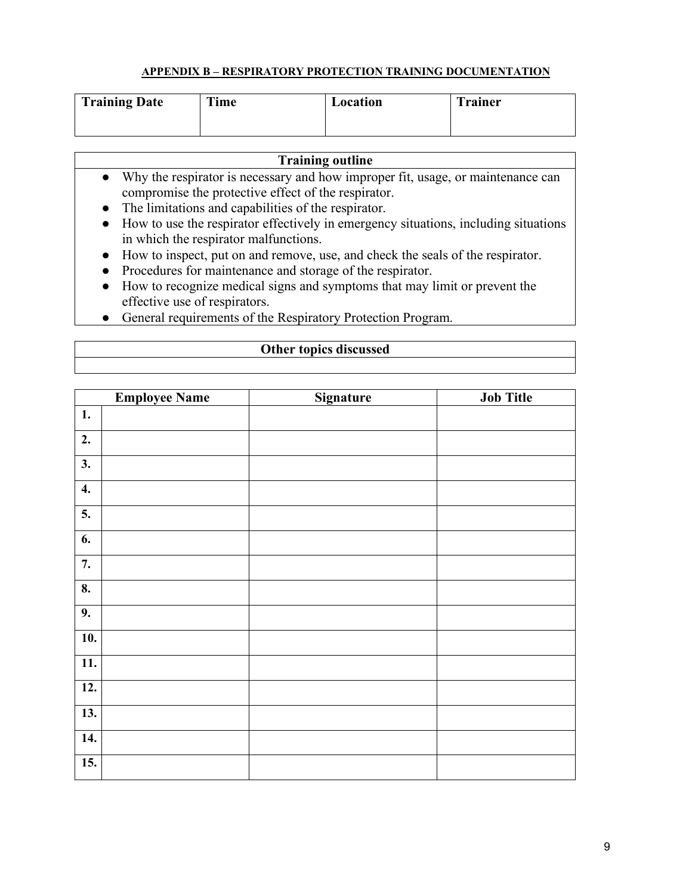#### **APPENDIX B – RESPIRATORY PROTECTION TRAINING DOCUMENTATION**

| <b>Training Date</b> | <b>Time</b> | Location | <b>Trainer</b> |
|----------------------|-------------|----------|----------------|
|                      |             |          |                |

# **Training outline**

- Why the respirator is necessary and how improper fit, usage, or maintenance can compromise the protective effect of the respirator.
- The limitations and capabilities of the respirator.
- How to use the respirator effectively in emergency situations, including situations in which the respirator malfunctions.
- How to inspect, put on and remove, use, and check the seals of the respirator.
- Procedures for maintenance and storage of the respirator.
- How to recognize medical signs and symptoms that may limit or prevent the effective use of respirators.
- General requirements of the Respiratory Protection Program.

#### **Other topics discussed**

|                   | <b>Employee Name</b> | Signature | <b>Job Title</b> |
|-------------------|----------------------|-----------|------------------|
| 1.                |                      |           |                  |
| 2.                |                      |           |                  |
| 3.                |                      |           |                  |
| 4.                |                      |           |                  |
| 5.                |                      |           |                  |
| 6.                |                      |           |                  |
| 7.                |                      |           |                  |
| 8.                |                      |           |                  |
| 9.                |                      |           |                  |
| $\overline{10}$ . |                      |           |                  |
| 11.               |                      |           |                  |
| $\overline{12}$ . |                      |           |                  |
| 13.               |                      |           |                  |
| 14.               |                      |           |                  |
| 15.               |                      |           |                  |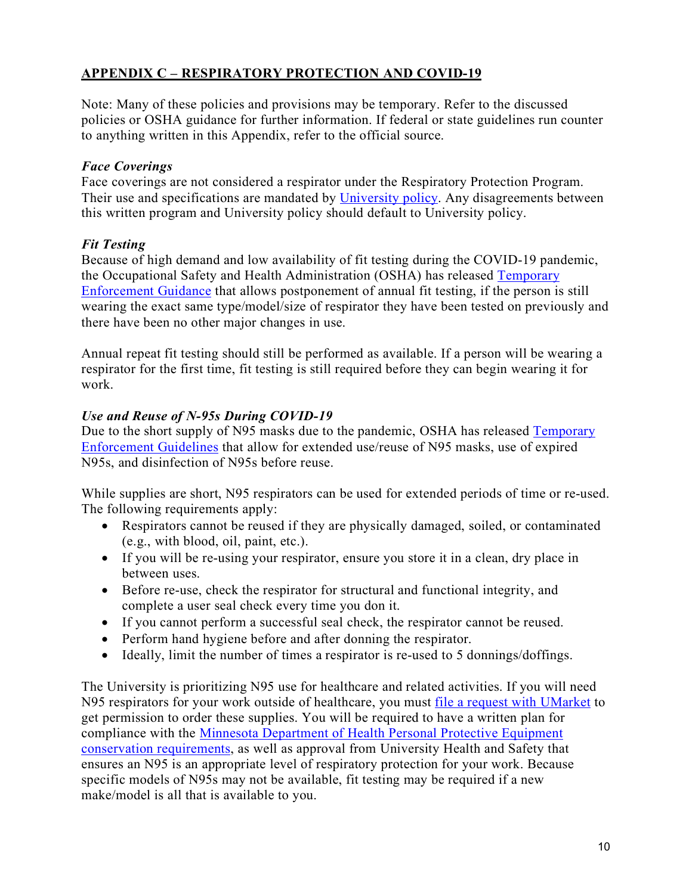# **APPENDIX C – RESPIRATORY PROTECTION AND COVID-19**

Note: Many of these policies and provisions may be temporary. Refer to the discussed policies or OSHA guidance for further information. If federal or state guidelines run counter to anything written in this Appendix, refer to the official source.

### *Face Coverings*

Face coverings are not considered a respirator under the Respiratory Protection Program. Their use and specifications are mandated by [University policy.](https://safe-campus.umn.edu/return-campus/face-coverings) Any disagreements between this written program and University policy should default to University policy.

# *Fit Testing*

Because of high demand and low availability of fit testing during the COVID-19 pandemic, the Occupational Safety and Health Administration (OSHA) has released [Temporary](https://www.osha.gov/memos/2020-04-08/expanded-temporary-enforcement-guidance-respiratory-protection-fit-testing-n95)  [Enforcement Guidance](https://www.osha.gov/memos/2020-04-08/expanded-temporary-enforcement-guidance-respiratory-protection-fit-testing-n95) that allows postponement of annual fit testing, if the person is still wearing the exact same type/model/size of respirator they have been tested on previously and there have been no other major changes in use.

Annual repeat fit testing should still be performed as available. If a person will be wearing a respirator for the first time, fit testing is still required before they can begin wearing it for work.

### *Use and Reuse of N-95s During COVID-19*

Due to the short supply of N95 masks due to the pandemic, OSHA has released [Temporary](https://www.osha.gov/memos/2020-04-03/enforcement-guidance-respiratory-protection-and-n95-shortage-due-coronavirus)  [Enforcement Guidelines](https://www.osha.gov/memos/2020-04-03/enforcement-guidance-respiratory-protection-and-n95-shortage-due-coronavirus) that allow for extended use/reuse of N95 masks, use of expired N95s, and disinfection of N95s before reuse.

While supplies are short, N95 respirators can be used for extended periods of time or re-used. The following requirements apply:

- Respirators cannot be reused if they are physically damaged, soiled, or contaminated (e.g., with blood, oil, paint, etc.).
- If you will be re-using your respirator, ensure you store it in a clean, dry place in between uses.
- Before re-use, check the respirator for structural and functional integrity, and complete a user seal check every time you don it.
- If you cannot perform a successful seal check, the respirator cannot be reused.
- Perform hand hygiene before and after donning the respirator.
- Ideally, limit the number of times a respirator is re-used to 5 donnings/doffings.

The University is prioritizing N95 use for healthcare and related activities. If you will need N95 respirators for your work outside of healthcare, you must [file a request with UMarket](https://docs.google.com/forms/d/e/1FAIpQLScKY7Yzn3OCUNQjJGQsaM52mBAqJ3rvOwOBT2BIQmMICFnqtQ/viewform) to get permission to order these supplies. You will be required to have a written plan for compliance with the [Minnesota Department of Health Personal Protective Equipment](https://www.health.state.mn.us/diseases/coronavirus/hcp/optimizingppe.pdf)  [conservation requirements,](https://www.health.state.mn.us/diseases/coronavirus/hcp/optimizingppe.pdf) as well as approval from University Health and Safety that ensures an N95 is an appropriate level of respiratory protection for your work. Because specific models of N95s may not be available, fit testing may be required if a new make/model is all that is available to you.